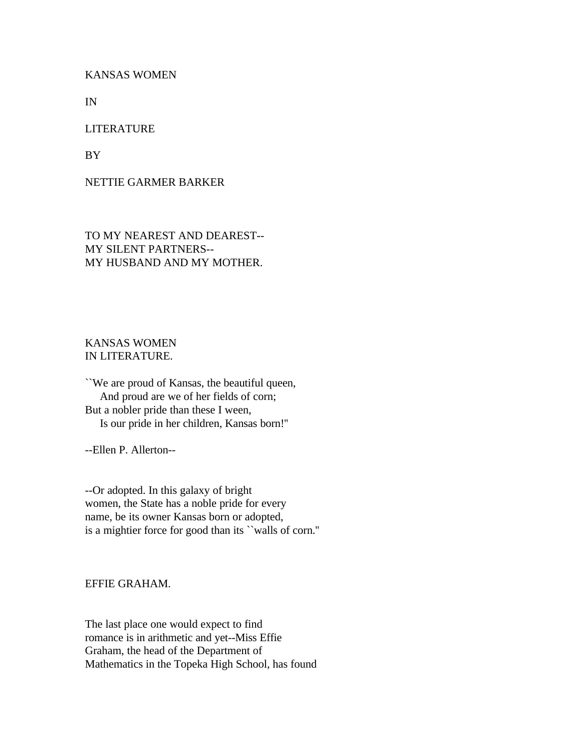KANSAS WOMEN

IN

### LITERATURE

BY

## NETTIE GARMER BARKER

TO MY NEAREST AND DEAREST-- MY SILENT PARTNERS-- MY HUSBAND AND MY MOTHER.

# KANSAS WOMEN IN LITERATURE.

``We are proud of Kansas, the beautiful queen, And proud are we of her fields of corn; But a nobler pride than these I ween, Is our pride in her children, Kansas born!''

--Ellen P. Allerton--

--Or adopted. In this galaxy of bright women, the State has a noble pride for every name, be its owner Kansas born or adopted, is a mightier force for good than its ``walls of corn.''

EFFIE GRAHAM.

The last place one would expect to find romance is in arithmetic and yet--Miss Effie Graham, the head of the Department of Mathematics in the Topeka High School, has found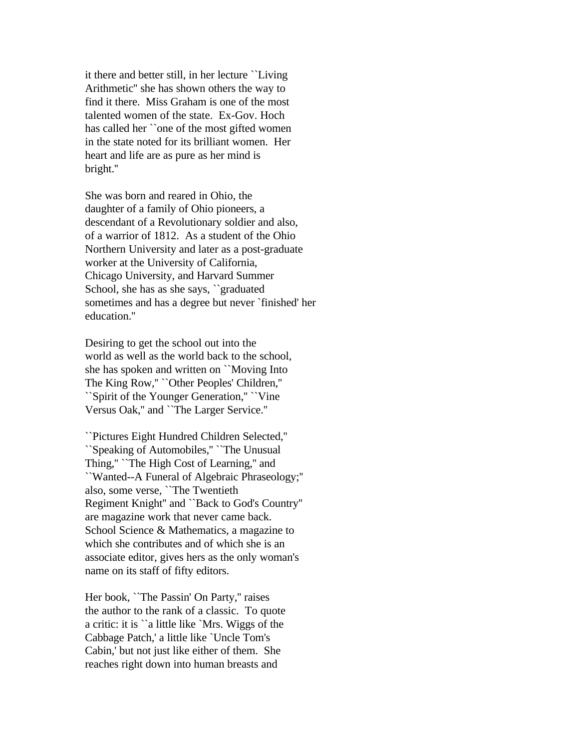it there and better still, in her lecture ``Living Arithmetic'' she has shown others the way to find it there. Miss Graham is one of the most talented women of the state. Ex-Gov. Hoch has called her ``one of the most gifted women in the state noted for its brilliant women. Her heart and life are as pure as her mind is bright.''

She was born and reared in Ohio, the daughter of a family of Ohio pioneers, a descendant of a Revolutionary soldier and also, of a warrior of 1812. As a student of the Ohio Northern University and later as a post-graduate worker at the University of California, Chicago University, and Harvard Summer School, she has as she says, ``graduated sometimes and has a degree but never `finished' her education.''

Desiring to get the school out into the world as well as the world back to the school, she has spoken and written on ``Moving Into The King Row,'' ``Other Peoples' Children,'' ``Spirit of the Younger Generation,'' ``Vine Versus Oak,'' and ``The Larger Service.''

``Pictures Eight Hundred Children Selected,'' ``Speaking of Automobiles,'' ``The Unusual Thing," "The High Cost of Learning," and ``Wanted--A Funeral of Algebraic Phraseology;'' also, some verse, ``The Twentieth Regiment Knight'' and ``Back to God's Country'' are magazine work that never came back. School Science & Mathematics, a magazine to which she contributes and of which she is an associate editor, gives hers as the only woman's name on its staff of fifty editors.

Her book, ``The Passin' On Party,'' raises the author to the rank of a classic. To quote a critic: it is ``a little like `Mrs. Wiggs of the Cabbage Patch,' a little like `Uncle Tom's Cabin,' but not just like either of them. She reaches right down into human breasts and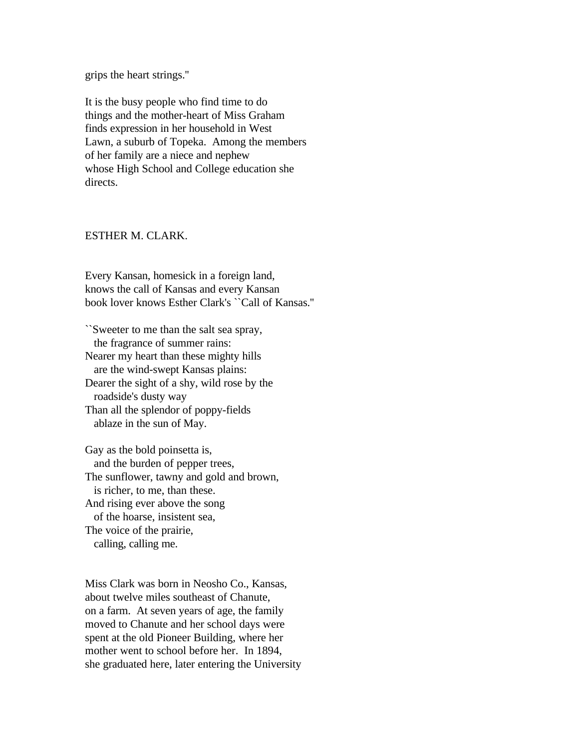grips the heart strings.''

It is the busy people who find time to do things and the mother-heart of Miss Graham finds expression in her household in West Lawn, a suburb of Topeka. Among the members of her family are a niece and nephew whose High School and College education she directs.

### ESTHER M. CLARK.

Every Kansan, homesick in a foreign land, knows the call of Kansas and every Kansan book lover knows Esther Clark's ``Call of Kansas.''

``Sweeter to me than the salt sea spray, the fragrance of summer rains: Nearer my heart than these mighty hills are the wind-swept Kansas plains: Dearer the sight of a shy, wild rose by the roadside's dusty way Than all the splendor of poppy-fields ablaze in the sun of May.

Gay as the bold poinsetta is, and the burden of pepper trees, The sunflower, tawny and gold and brown, is richer, to me, than these. And rising ever above the song of the hoarse, insistent sea, The voice of the prairie, calling, calling me.

Miss Clark was born in Neosho Co., Kansas, about twelve miles southeast of Chanute, on a farm. At seven years of age, the family moved to Chanute and her school days were spent at the old Pioneer Building, where her mother went to school before her. In 1894, she graduated here, later entering the University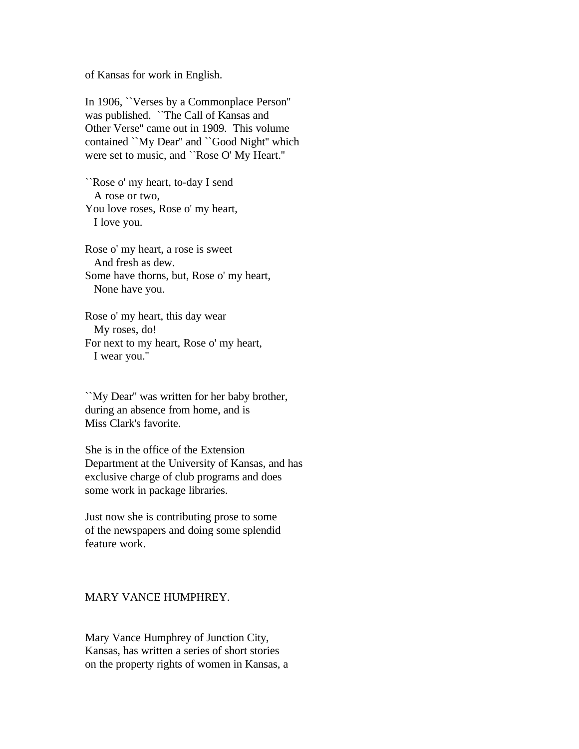of Kansas for work in English.

In 1906, ``Verses by a Commonplace Person'' was published. ``The Call of Kansas and Other Verse'' came out in 1909. This volume contained ``My Dear'' and ``Good Night'' which were set to music, and ``Rose O' My Heart.''

``Rose o' my heart, to-day I send A rose or two, You love roses, Rose o' my heart, I love you.

Rose o' my heart, a rose is sweet And fresh as dew. Some have thorns, but, Rose o' my heart, None have you.

Rose o' my heart, this day wear My roses, do! For next to my heart, Rose o' my heart, I wear you.''

``My Dear'' was written for her baby brother, during an absence from home, and is Miss Clark's favorite.

She is in the office of the Extension Department at the University of Kansas, and has exclusive charge of club programs and does some work in package libraries.

Just now she is contributing prose to some of the newspapers and doing some splendid feature work.

#### MARY VANCE HUMPHREY.

Mary Vance Humphrey of Junction City, Kansas, has written a series of short stories on the property rights of women in Kansas, a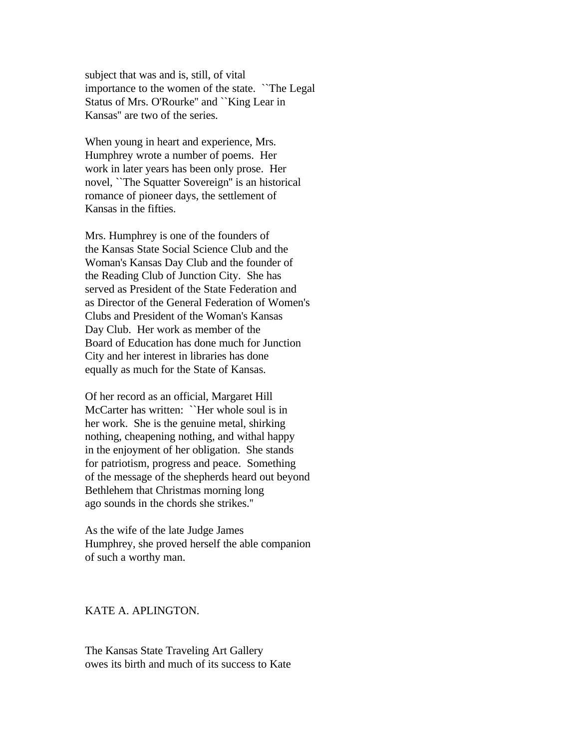subject that was and is, still, of vital importance to the women of the state. ``The Legal Status of Mrs. O'Rourke'' and ``King Lear in Kansas'' are two of the series.

When young in heart and experience, Mrs. Humphrey wrote a number of poems. Her work in later years has been only prose. Her novel, ``The Squatter Sovereign'' is an historical romance of pioneer days, the settlement of Kansas in the fifties.

Mrs. Humphrey is one of the founders of the Kansas State Social Science Club and the Woman's Kansas Day Club and the founder of the Reading Club of Junction City. She has served as President of the State Federation and as Director of the General Federation of Women's Clubs and President of the Woman's Kansas Day Club. Her work as member of the Board of Education has done much for Junction City and her interest in libraries has done equally as much for the State of Kansas.

Of her record as an official, Margaret Hill McCarter has written: ``Her whole soul is in her work. She is the genuine metal, shirking nothing, cheapening nothing, and withal happy in the enjoyment of her obligation. She stands for patriotism, progress and peace. Something of the message of the shepherds heard out beyond Bethlehem that Christmas morning long ago sounds in the chords she strikes.''

As the wife of the late Judge James Humphrey, she proved herself the able companion of such a worthy man.

# KATE A. APLINGTON.

The Kansas State Traveling Art Gallery owes its birth and much of its success to Kate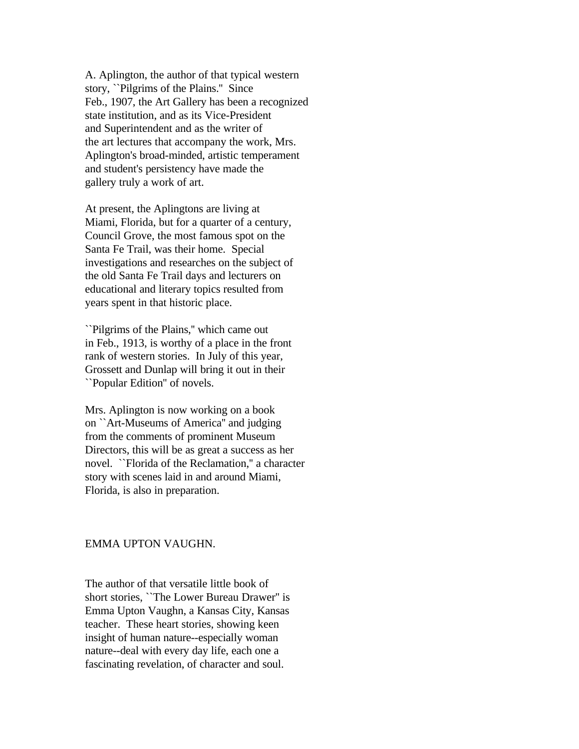A. Aplington, the author of that typical western story, ``Pilgrims of the Plains.'' Since Feb., 1907, the Art Gallery has been a recognized state institution, and as its Vice-President and Superintendent and as the writer of the art lectures that accompany the work, Mrs. Aplington's broad-minded, artistic temperament and student's persistency have made the gallery truly a work of art.

At present, the Aplingtons are living at Miami, Florida, but for a quarter of a century, Council Grove, the most famous spot on the Santa Fe Trail, was their home. Special investigations and researches on the subject of the old Santa Fe Trail days and lecturers on educational and literary topics resulted from years spent in that historic place.

``Pilgrims of the Plains,'' which came out in Feb., 1913, is worthy of a place in the front rank of western stories. In July of this year, Grossett and Dunlap will bring it out in their ``Popular Edition'' of novels.

Mrs. Aplington is now working on a book on ``Art-Museums of America'' and judging from the comments of prominent Museum Directors, this will be as great a success as her novel. ``Florida of the Reclamation,'' a character story with scenes laid in and around Miami, Florida, is also in preparation.

### EMMA UPTON VAUGHN.

The author of that versatile little book of short stories, ``The Lower Bureau Drawer'' is Emma Upton Vaughn, a Kansas City, Kansas teacher. These heart stories, showing keen insight of human nature--especially woman nature--deal with every day life, each one a fascinating revelation, of character and soul.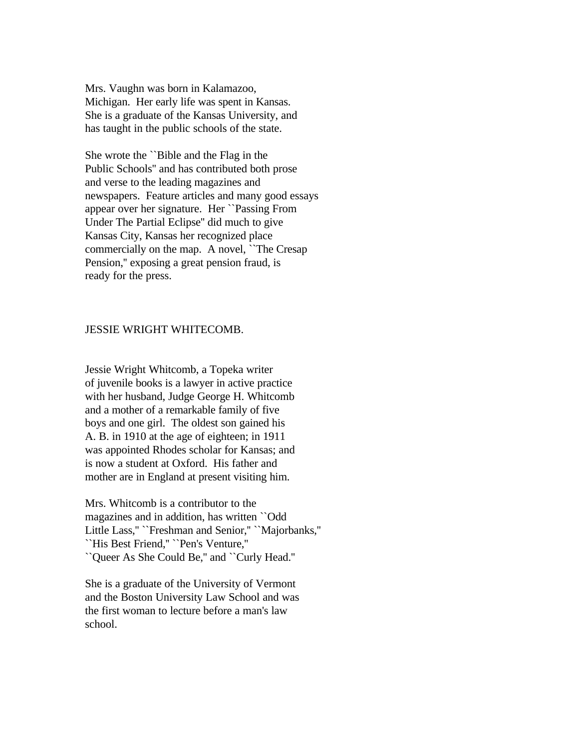Mrs. Vaughn was born in Kalamazoo, Michigan. Her early life was spent in Kansas. She is a graduate of the Kansas University, and has taught in the public schools of the state.

She wrote the ``Bible and the Flag in the Public Schools'' and has contributed both prose and verse to the leading magazines and newspapers. Feature articles and many good essays appear over her signature. Her ``Passing From Under The Partial Eclipse'' did much to give Kansas City, Kansas her recognized place commercially on the map. A novel, ``The Cresap Pension," exposing a great pension fraud, is ready for the press.

### JESSIE WRIGHT WHITECOMB.

Jessie Wright Whitcomb, a Topeka writer of juvenile books is a lawyer in active practice with her husband, Judge George H. Whitcomb and a mother of a remarkable family of five boys and one girl. The oldest son gained his A. B. in 1910 at the age of eighteen; in 1911 was appointed Rhodes scholar for Kansas; and is now a student at Oxford. His father and mother are in England at present visiting him.

Mrs. Whitcomb is a contributor to the magazines and in addition, has written ``Odd Little Lass,'' ``Freshman and Senior,'' ``Majorbanks,'' ``His Best Friend,'' ``Pen's Venture,'' ``Queer As She Could Be,'' and ``Curly Head.''

She is a graduate of the University of Vermont and the Boston University Law School and was the first woman to lecture before a man's law school.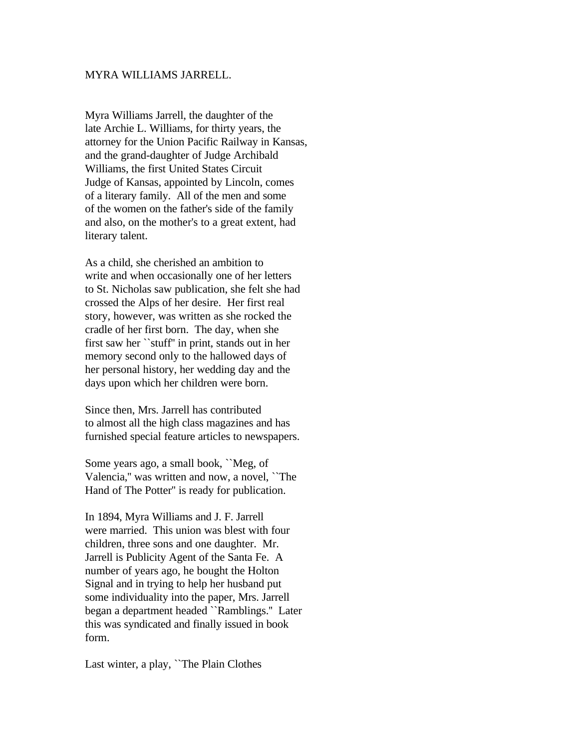### MYRA WILLIAMS JARRELL.

Myra Williams Jarrell, the daughter of the late Archie L. Williams, for thirty years, the attorney for the Union Pacific Railway in Kansas, and the grand-daughter of Judge Archibald Williams, the first United States Circuit Judge of Kansas, appointed by Lincoln, comes of a literary family. All of the men and some of the women on the father's side of the family and also, on the mother's to a great extent, had literary talent.

As a child, she cherished an ambition to write and when occasionally one of her letters to St. Nicholas saw publication, she felt she had crossed the Alps of her desire. Her first real story, however, was written as she rocked the cradle of her first born. The day, when she first saw her ``stuff'' in print, stands out in her memory second only to the hallowed days of her personal history, her wedding day and the days upon which her children were born.

Since then, Mrs. Jarrell has contributed to almost all the high class magazines and has furnished special feature articles to newspapers.

Some years ago, a small book, ``Meg, of Valencia,'' was written and now, a novel, ``The Hand of The Potter'' is ready for publication.

In 1894, Myra Williams and J. F. Jarrell were married. This union was blest with four children, three sons and one daughter. Mr. Jarrell is Publicity Agent of the Santa Fe. A number of years ago, he bought the Holton Signal and in trying to help her husband put some individuality into the paper, Mrs. Jarrell began a department headed ``Ramblings.'' Later this was syndicated and finally issued in book form.

Last winter, a play, ``The Plain Clothes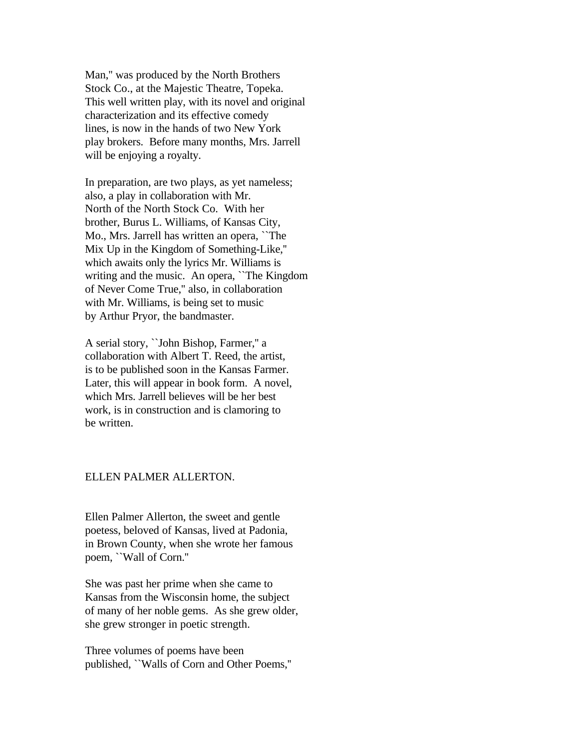Man,'' was produced by the North Brothers Stock Co., at the Majestic Theatre, Topeka. This well written play, with its novel and original characterization and its effective comedy lines, is now in the hands of two New York play brokers. Before many months, Mrs. Jarrell will be enjoying a royalty.

In preparation, are two plays, as yet nameless; also, a play in collaboration with Mr. North of the North Stock Co. With her brother, Burus L. Williams, of Kansas City, Mo., Mrs. Jarrell has written an opera, ``The Mix Up in the Kingdom of Something-Like,'' which awaits only the lyrics Mr. Williams is writing and the music. An opera, ``The Kingdom of Never Come True,'' also, in collaboration with Mr. Williams, is being set to music by Arthur Pryor, the bandmaster.

A serial story, ``John Bishop, Farmer,'' a collaboration with Albert T. Reed, the artist, is to be published soon in the Kansas Farmer. Later, this will appear in book form. A novel, which Mrs. Jarrell believes will be her best work, is in construction and is clamoring to be written.

### ELLEN PALMER ALLERTON.

Ellen Palmer Allerton, the sweet and gentle poetess, beloved of Kansas, lived at Padonia, in Brown County, when she wrote her famous poem, ``Wall of Corn.''

She was past her prime when she came to Kansas from the Wisconsin home, the subject of many of her noble gems. As she grew older, she grew stronger in poetic strength.

Three volumes of poems have been published, ``Walls of Corn and Other Poems,''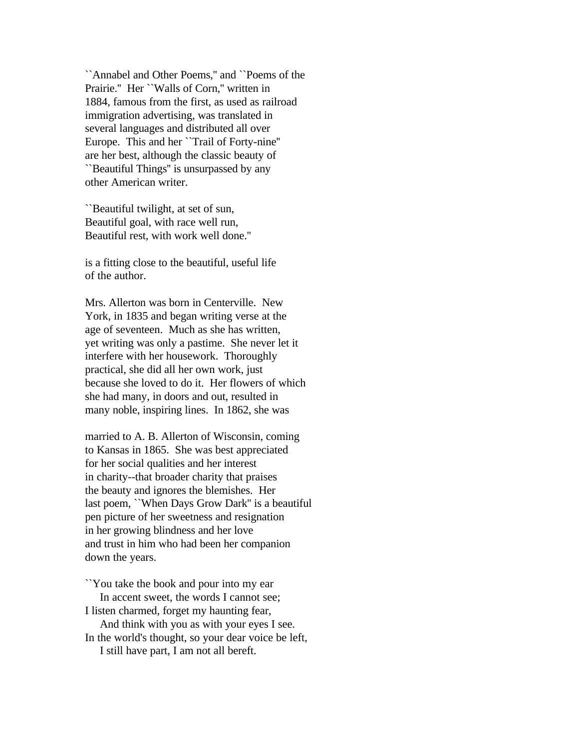``Annabel and Other Poems,'' and ``Poems of the Prairie." Her ``Walls of Corn," written in 1884, famous from the first, as used as railroad immigration advertising, was translated in several languages and distributed all over Europe. This and her ``Trail of Forty-nine'' are her best, although the classic beauty of ``Beautiful Things'' is unsurpassed by any other American writer.

``Beautiful twilight, at set of sun, Beautiful goal, with race well run, Beautiful rest, with work well done.''

is a fitting close to the beautiful, useful life of the author.

Mrs. Allerton was born in Centerville. New York, in 1835 and began writing verse at the age of seventeen. Much as she has written, yet writing was only a pastime. She never let it interfere with her housework. Thoroughly practical, she did all her own work, just because she loved to do it. Her flowers of which she had many, in doors and out, resulted in many noble, inspiring lines. In 1862, she was

married to A. B. Allerton of Wisconsin, coming to Kansas in 1865. She was best appreciated for her social qualities and her interest in charity--that broader charity that praises the beauty and ignores the blemishes. Her last poem, ``When Days Grow Dark'' is a beautiful pen picture of her sweetness and resignation in her growing blindness and her love and trust in him who had been her companion down the years.

``You take the book and pour into my ear In accent sweet, the words I cannot see; I listen charmed, forget my haunting fear, And think with you as with your eyes I see. In the world's thought, so your dear voice be left, I still have part, I am not all bereft.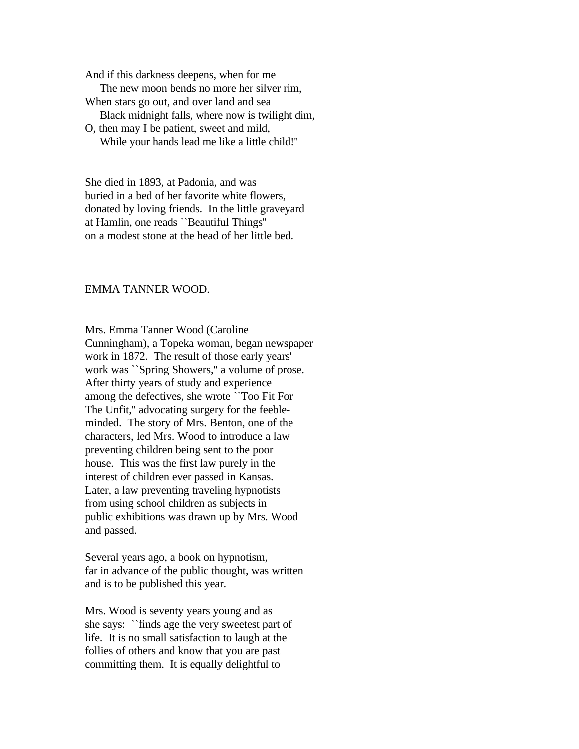And if this darkness deepens, when for me The new moon bends no more her silver rim, When stars go out, and over land and sea Black midnight falls, where now is twilight dim, O, then may I be patient, sweet and mild,

While your hands lead me like a little child!''

She died in 1893, at Padonia, and was buried in a bed of her favorite white flowers, donated by loving friends. In the little graveyard at Hamlin, one reads ``Beautiful Things'' on a modest stone at the head of her little bed.

# EMMA TANNER WOOD.

Mrs. Emma Tanner Wood (Caroline Cunningham), a Topeka woman, began newspaper work in 1872. The result of those early years' work was ``Spring Showers,'' a volume of prose. After thirty years of study and experience among the defectives, she wrote ``Too Fit For The Unfit,'' advocating surgery for the feebleminded. The story of Mrs. Benton, one of the characters, led Mrs. Wood to introduce a law preventing children being sent to the poor house. This was the first law purely in the interest of children ever passed in Kansas. Later, a law preventing traveling hypnotists from using school children as subjects in public exhibitions was drawn up by Mrs. Wood and passed.

Several years ago, a book on hypnotism, far in advance of the public thought, was written and is to be published this year.

Mrs. Wood is seventy years young and as she says: ``finds age the very sweetest part of life. It is no small satisfaction to laugh at the follies of others and know that you are past committing them. It is equally delightful to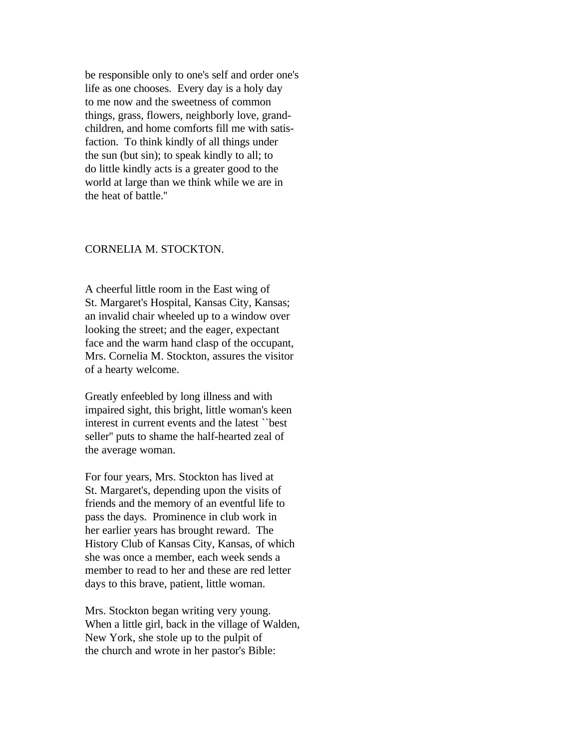be responsible only to one's self and order one's life as one chooses. Every day is a holy day to me now and the sweetness of common things, grass, flowers, neighborly love, grandchildren, and home comforts fill me with satisfaction. To think kindly of all things under the sun (but sin); to speak kindly to all; to do little kindly acts is a greater good to the world at large than we think while we are in the heat of battle.''

### CORNELIA M. STOCKTON.

A cheerful little room in the East wing of St. Margaret's Hospital, Kansas City, Kansas; an invalid chair wheeled up to a window over looking the street; and the eager, expectant face and the warm hand clasp of the occupant, Mrs. Cornelia M. Stockton, assures the visitor of a hearty welcome.

Greatly enfeebled by long illness and with impaired sight, this bright, little woman's keen interest in current events and the latest ``best seller'' puts to shame the half-hearted zeal of the average woman.

For four years, Mrs. Stockton has lived at St. Margaret's, depending upon the visits of friends and the memory of an eventful life to pass the days. Prominence in club work in her earlier years has brought reward. The History Club of Kansas City, Kansas, of which she was once a member, each week sends a member to read to her and these are red letter days to this brave, patient, little woman.

Mrs. Stockton began writing very young. When a little girl, back in the village of Walden, New York, she stole up to the pulpit of the church and wrote in her pastor's Bible: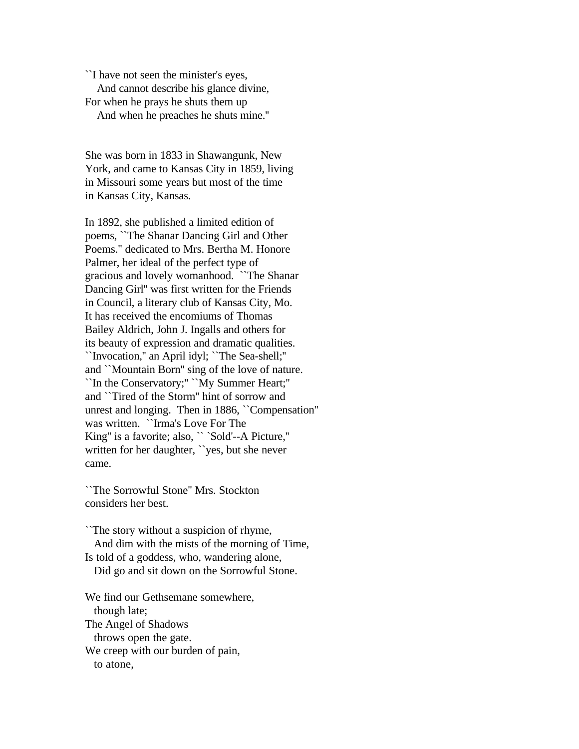``I have not seen the minister's eyes, And cannot describe his glance divine, For when he prays he shuts them up And when he preaches he shuts mine.''

She was born in 1833 in Shawangunk, New York, and came to Kansas City in 1859, living in Missouri some years but most of the time in Kansas City, Kansas.

In 1892, she published a limited edition of poems, ``The Shanar Dancing Girl and Other Poems.'' dedicated to Mrs. Bertha M. Honore Palmer, her ideal of the perfect type of gracious and lovely womanhood. ``The Shanar Dancing Girl'' was first written for the Friends in Council, a literary club of Kansas City, Mo. It has received the encomiums of Thomas Bailey Aldrich, John J. Ingalls and others for its beauty of expression and dramatic qualities. ``Invocation,'' an April idyl; ``The Sea-shell;'' and ``Mountain Born'' sing of the love of nature. ``In the Conservatory;'' ``My Summer Heart;'' and ``Tired of the Storm'' hint of sorrow and unrest and longing. Then in 1886, ``Compensation'' was written. ``Irma's Love For The King'' is a favorite; also, `` `Sold'--A Picture,'' written for her daughter, ``yes, but she never came.

``The Sorrowful Stone'' Mrs. Stockton considers her best.

``The story without a suspicion of rhyme, And dim with the mists of the morning of Time, Is told of a goddess, who, wandering alone, Did go and sit down on the Sorrowful Stone.

We find our Gethsemane somewhere, though late; The Angel of Shadows throws open the gate. We creep with our burden of pain, to atone,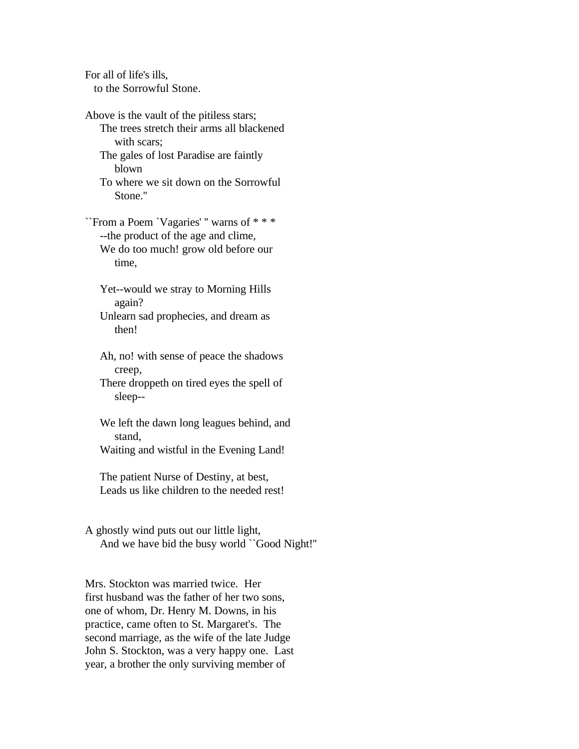For all of life's ills, to the Sorrowful Stone.

Above is the vault of the pitiless stars; The trees stretch their arms all blackened with scars; The gales of lost Paradise are faintly blown

 To where we sit down on the Sorrowful Stone.''

``From a Poem `Vagaries' '' warns of \* \* \* --the product of the age and clime, We do too much! grow old before our time,

 Yet--would we stray to Morning Hills again?

 Unlearn sad prophecies, and dream as then!

 Ah, no! with sense of peace the shadows creep,

 There droppeth on tired eyes the spell of sleep--

 We left the dawn long leagues behind, and stand,

Waiting and wistful in the Evening Land!

 The patient Nurse of Destiny, at best, Leads us like children to the needed rest!

A ghostly wind puts out our little light, And we have bid the busy world ``Good Night!''

Mrs. Stockton was married twice. Her first husband was the father of her two sons, one of whom, Dr. Henry M. Downs, in his practice, came often to St. Margaret's. The second marriage, as the wife of the late Judge John S. Stockton, was a very happy one. Last year, a brother the only surviving member of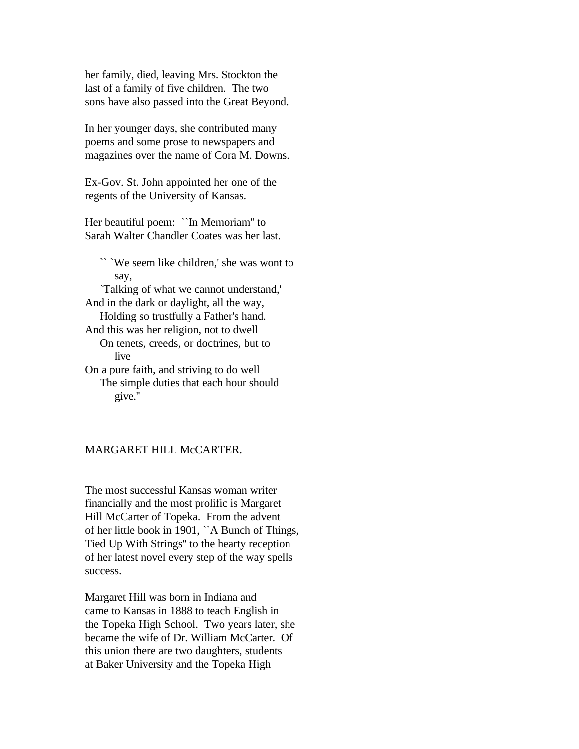her family, died, leaving Mrs. Stockton the last of a family of five children. The two sons have also passed into the Great Beyond.

In her younger days, she contributed many poems and some prose to newspapers and magazines over the name of Cora M. Downs.

Ex-Gov. St. John appointed her one of the regents of the University of Kansas.

Her beautiful poem: ``In Memoriam'' to Sarah Walter Chandler Coates was her last.

 `` `We seem like children,' she was wont to say, `Talking of what we cannot understand,' And in the dark or daylight, all the way, Holding so trustfully a Father's hand. And this was her religion, not to dwell On tenets, creeds, or doctrines, but to live On a pure faith, and striving to do well The simple duties that each hour should give.''

### MARGARET HILL McCARTER.

The most successful Kansas woman writer financially and the most prolific is Margaret Hill McCarter of Topeka. From the advent of her little book in 1901, ``A Bunch of Things, Tied Up With Strings'' to the hearty reception of her latest novel every step of the way spells success.

Margaret Hill was born in Indiana and came to Kansas in 1888 to teach English in the Topeka High School. Two years later, she became the wife of Dr. William McCarter. Of this union there are two daughters, students at Baker University and the Topeka High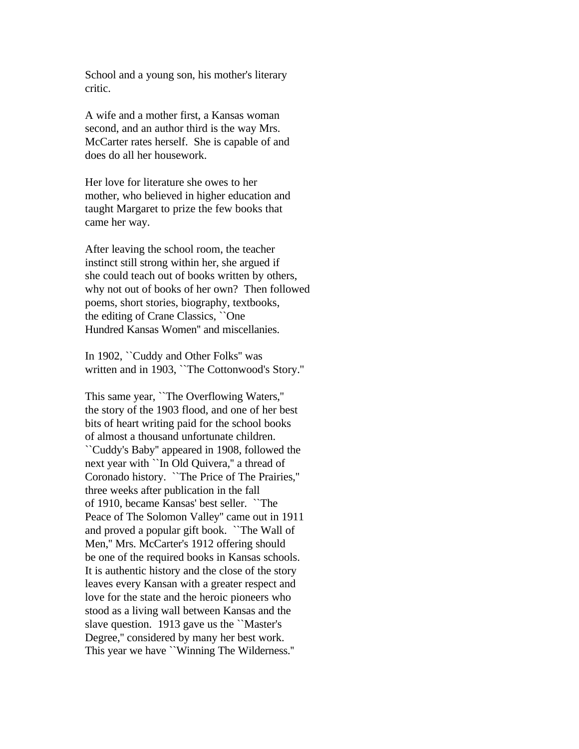School and a young son, his mother's literary critic.

A wife and a mother first, a Kansas woman second, and an author third is the way Mrs. McCarter rates herself. She is capable of and does do all her housework.

Her love for literature she owes to her mother, who believed in higher education and taught Margaret to prize the few books that came her way.

After leaving the school room, the teacher instinct still strong within her, she argued if she could teach out of books written by others, why not out of books of her own? Then followed poems, short stories, biography, textbooks, the editing of Crane Classics, ``One Hundred Kansas Women'' and miscellanies.

In 1902, ``Cuddy and Other Folks'' was written and in 1903, ``The Cottonwood's Story.''

This same year, ``The Overflowing Waters,'' the story of the 1903 flood, and one of her best bits of heart writing paid for the school books of almost a thousand unfortunate children. ``Cuddy's Baby'' appeared in 1908, followed the next year with ``In Old Quivera,'' a thread of Coronado history. ``The Price of The Prairies,'' three weeks after publication in the fall of 1910, became Kansas' best seller. ``The Peace of The Solomon Valley'' came out in 1911 and proved a popular gift book. ``The Wall of Men,'' Mrs. McCarter's 1912 offering should be one of the required books in Kansas schools. It is authentic history and the close of the story leaves every Kansan with a greater respect and love for the state and the heroic pioneers who stood as a living wall between Kansas and the slave question. 1913 gave us the ``Master's Degree,'' considered by many her best work. This year we have ``Winning The Wilderness.''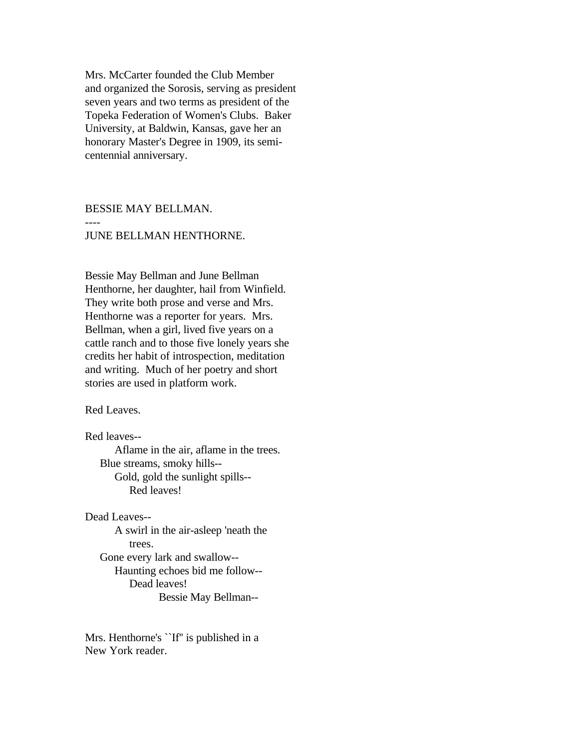Mrs. McCarter founded the Club Member and organized the Sorosis, serving as president seven years and two terms as president of the Topeka Federation of Women's Clubs. Baker University, at Baldwin, Kansas, gave her an honorary Master's Degree in 1909, its semicentennial anniversary.

BESSIE MAY BELLMAN. ---- JUNE BELLMAN HENTHORNE.

Bessie May Bellman and June Bellman Henthorne, her daughter, hail from Winfield. They write both prose and verse and Mrs. Henthorne was a reporter for years. Mrs. Bellman, when a girl, lived five years on a cattle ranch and to those five lonely years she credits her habit of introspection, meditation and writing. Much of her poetry and short stories are used in platform work.

Red Leaves.

Red leaves--

 Aflame in the air, aflame in the trees. Blue streams, smoky hills-- Gold, gold the sunlight spills-- Red leaves!

Dead Leaves--

 A swirl in the air-asleep 'neath the trees. Gone every lark and swallow-- Haunting echoes bid me follow-- Dead leaves! Bessie May Bellman--

Mrs. Henthorne's ``If'' is published in a New York reader.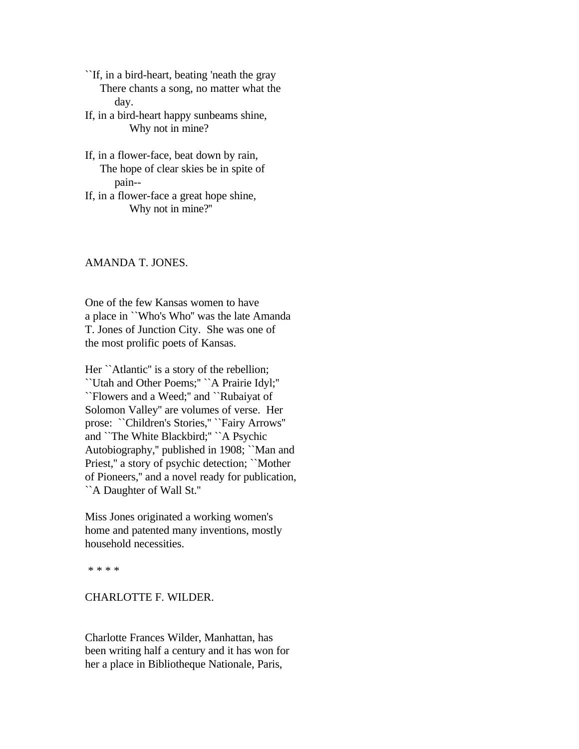``If, in a bird-heart, beating 'neath the gray There chants a song, no matter what the day.

If, in a bird-heart happy sunbeams shine, Why not in mine?

- If, in a flower-face, beat down by rain, The hope of clear skies be in spite of pain--
- If, in a flower-face a great hope shine, Why not in mine?''

### AMANDA T. JONES.

One of the few Kansas women to have a place in ``Who's Who'' was the late Amanda T. Jones of Junction City. She was one of the most prolific poets of Kansas.

Her ``Atlantic" is a story of the rebellion; ``Utah and Other Poems;'' ``A Prairie Idyl;'' ``Flowers and a Weed;'' and ``Rubaiyat of Solomon Valley'' are volumes of verse. Her prose: "Children's Stories," "Fairy Arrows" and ``The White Blackbird;'' ``A Psychic Autobiography,'' published in 1908; ``Man and Priest,'' a story of psychic detection; ``Mother of Pioneers,'' and a novel ready for publication, ``A Daughter of Wall St.''

Miss Jones originated a working women's home and patented many inventions, mostly household necessities.

\* \* \* \*

### CHARLOTTE F. WILDER.

Charlotte Frances Wilder, Manhattan, has been writing half a century and it has won for her a place in Bibliotheque Nationale, Paris,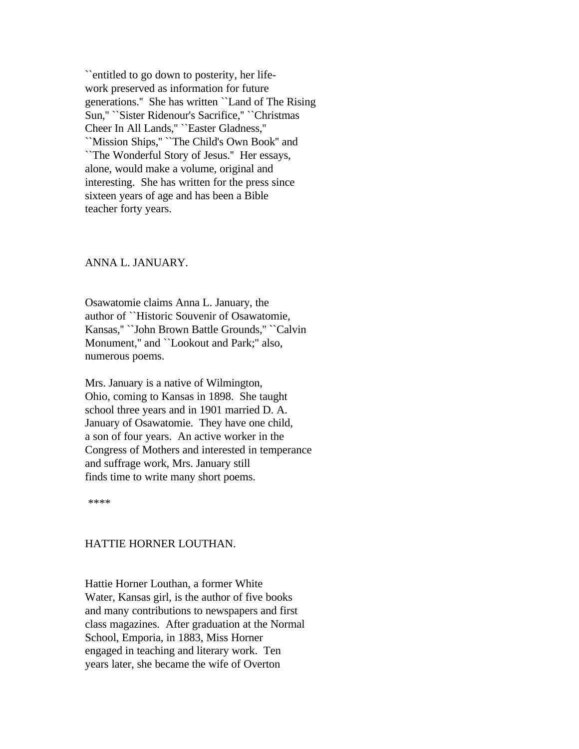``entitled to go down to posterity, her lifework preserved as information for future generations.'' She has written ``Land of The Rising Sun,'' ``Sister Ridenour's Sacrifice,'' ``Christmas Cheer In All Lands,'' ``Easter Gladness,'' ``Mission Ships,'' ``The Child's Own Book'' and ``The Wonderful Story of Jesus.'' Her essays, alone, would make a volume, original and interesting. She has written for the press since sixteen years of age and has been a Bible teacher forty years.

#### ANNA L. JANUARY.

Osawatomie claims Anna L. January, the author of ``Historic Souvenir of Osawatomie, Kansas,'' ``John Brown Battle Grounds,'' ``Calvin Monument,'' and ``Lookout and Park;'' also, numerous poems.

Mrs. January is a native of Wilmington, Ohio, coming to Kansas in 1898. She taught school three years and in 1901 married D. A. January of Osawatomie. They have one child, a son of four years. An active worker in the Congress of Mothers and interested in temperance and suffrage work, Mrs. January still finds time to write many short poems.

\*\*\*\*

### HATTIE HORNER LOUTHAN.

Hattie Horner Louthan, a former White Water, Kansas girl, is the author of five books and many contributions to newspapers and first class magazines. After graduation at the Normal School, Emporia, in 1883, Miss Horner engaged in teaching and literary work. Ten years later, she became the wife of Overton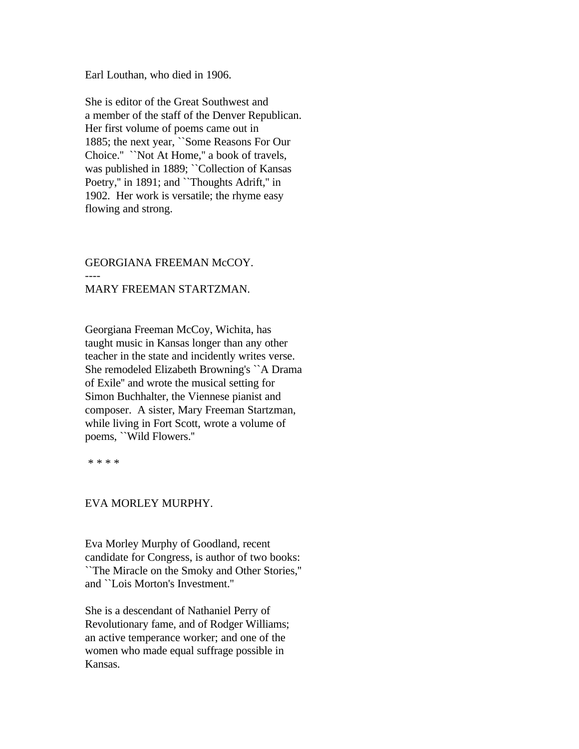Earl Louthan, who died in 1906.

She is editor of the Great Southwest and a member of the staff of the Denver Republican. Her first volume of poems came out in 1885; the next year, ``Some Reasons For Our Choice.'' ``Not At Home,'' a book of travels, was published in 1889; "Collection of Kansas Poetry," in 1891; and "Thoughts Adrift," in 1902. Her work is versatile; the rhyme easy flowing and strong.

# GEORGIANA FREEMAN McCOY. ---- MARY FREEMAN STARTZMAN.

Georgiana Freeman McCoy, Wichita, has taught music in Kansas longer than any other teacher in the state and incidently writes verse. She remodeled Elizabeth Browning's ``A Drama of Exile'' and wrote the musical setting for Simon Buchhalter, the Viennese pianist and composer. A sister, Mary Freeman Startzman, while living in Fort Scott, wrote a volume of poems, ``Wild Flowers.''

\* \* \* \*

# EVA MORLEY MURPHY.

Eva Morley Murphy of Goodland, recent candidate for Congress, is author of two books: ``The Miracle on the Smoky and Other Stories,'' and ``Lois Morton's Investment.''

She is a descendant of Nathaniel Perry of Revolutionary fame, and of Rodger Williams; an active temperance worker; and one of the women who made equal suffrage possible in Kansas.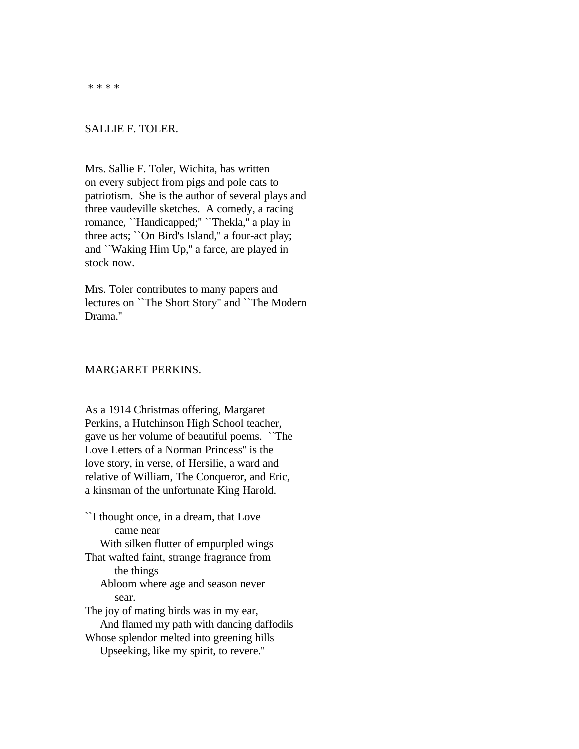\* \* \* \*

#### SALLIE F. TOLER.

Mrs. Sallie F. Toler, Wichita, has written on every subject from pigs and pole cats to patriotism. She is the author of several plays and three vaudeville sketches. A comedy, a racing romance, ``Handicapped;'' ``Thekla,'' a play in three acts; ``On Bird's Island,'' a four-act play; and ``Waking Him Up,'' a farce, are played in stock now.

Mrs. Toler contributes to many papers and lectures on ``The Short Story'' and ``The Modern Drama.''

# MARGARET PERKINS.

As a 1914 Christmas offering, Margaret Perkins, a Hutchinson High School teacher, gave us her volume of beautiful poems. ``The Love Letters of a Norman Princess'' is the love story, in verse, of Hersilie, a ward and relative of William, The Conqueror, and Eric, a kinsman of the unfortunate King Harold.

``I thought once, in a dream, that Love came near With silken flutter of empurpled wings That wafted faint, strange fragrance from the things Abloom where age and season never sear. The joy of mating birds was in my ear, And flamed my path with dancing daffodils Whose splendor melted into greening hills Upseeking, like my spirit, to revere.''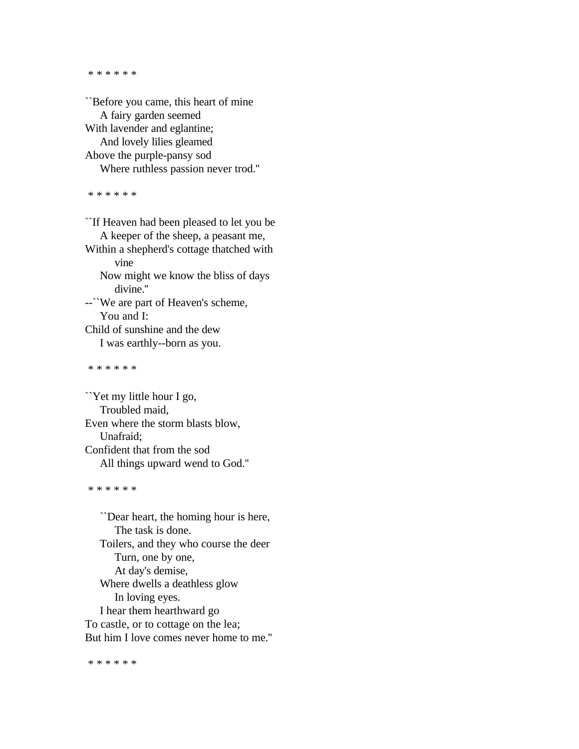\* \* \* \* \* \*

``Before you came, this heart of mine A fairy garden seemed With lavender and eglantine; And lovely lilies gleamed Above the purple-pansy sod Where ruthless passion never trod.''

\* \* \* \* \* \*

``If Heaven had been pleased to let you be A keeper of the sheep, a peasant me, Within a shepherd's cottage thatched with vine Now might we know the bliss of days divine.'' --``We are part of Heaven's scheme, You and I: Child of sunshine and the dew I was earthly--born as you. \* \* \* \* \* \*

``Yet my little hour I go, Troubled maid, Even where the storm blasts blow, Unafraid; Confident that from the sod All things upward wend to God.''

\* \* \* \* \* \*

 ``Dear heart, the homing hour is here, The task is done. Toilers, and they who course the deer Turn, one by one, At day's demise, Where dwells a deathless glow In loving eyes. I hear them hearthward go To castle, or to cottage on the lea; But him I love comes never home to me.''

\* \* \* \* \* \*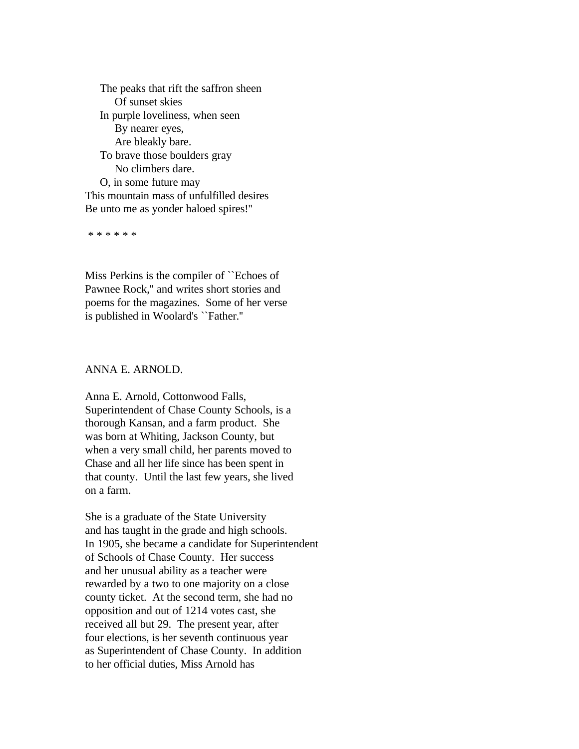The peaks that rift the saffron sheen Of sunset skies In purple loveliness, when seen By nearer eyes, Are bleakly bare. To brave those boulders gray No climbers dare. O, in some future may This mountain mass of unfulfilled desires Be unto me as yonder haloed spires!''

\* \* \* \* \* \*

Miss Perkins is the compiler of ``Echoes of Pawnee Rock,'' and writes short stories and poems for the magazines. Some of her verse is published in Woolard's ``Father.''

# ANNA E. ARNOLD.

Anna E. Arnold, Cottonwood Falls, Superintendent of Chase County Schools, is a thorough Kansan, and a farm product. She was born at Whiting, Jackson County, but when a very small child, her parents moved to Chase and all her life since has been spent in that county. Until the last few years, she lived on a farm.

She is a graduate of the State University and has taught in the grade and high schools. In 1905, she became a candidate for Superintendent of Schools of Chase County. Her success and her unusual ability as a teacher were rewarded by a two to one majority on a close county ticket. At the second term, she had no opposition and out of 1214 votes cast, she received all but 29. The present year, after four elections, is her seventh continuous year as Superintendent of Chase County. In addition to her official duties, Miss Arnold has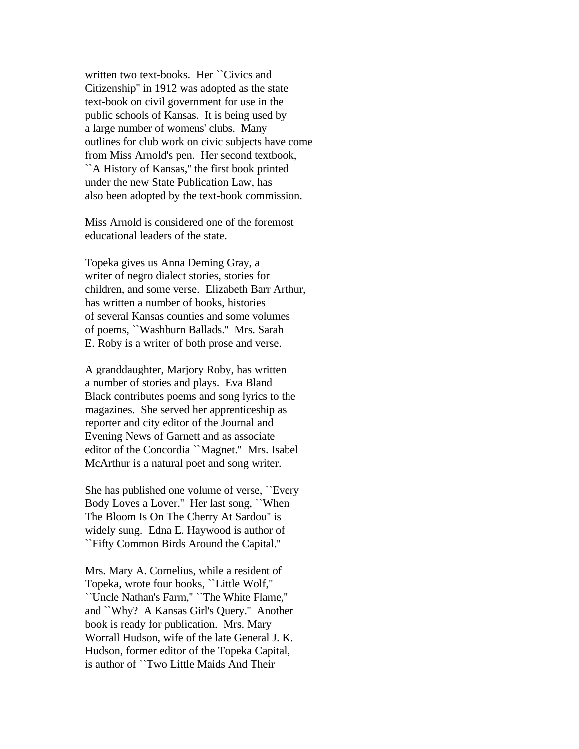written two text-books. Her ``Civics and Citizenship'' in 1912 was adopted as the state text-book on civil government for use in the public schools of Kansas. It is being used by a large number of womens' clubs. Many outlines for club work on civic subjects have come from Miss Arnold's pen. Her second textbook, ``A History of Kansas,'' the first book printed under the new State Publication Law, has also been adopted by the text-book commission.

Miss Arnold is considered one of the foremost educational leaders of the state.

Topeka gives us Anna Deming Gray, a writer of negro dialect stories, stories for children, and some verse. Elizabeth Barr Arthur, has written a number of books, histories of several Kansas counties and some volumes of poems, ``Washburn Ballads.'' Mrs. Sarah E. Roby is a writer of both prose and verse.

A granddaughter, Marjory Roby, has written a number of stories and plays. Eva Bland Black contributes poems and song lyrics to the magazines. She served her apprenticeship as reporter and city editor of the Journal and Evening News of Garnett and as associate editor of the Concordia ``Magnet.'' Mrs. Isabel McArthur is a natural poet and song writer.

She has published one volume of verse, ``Every Body Loves a Lover.'' Her last song, ``When The Bloom Is On The Cherry At Sardou'' is widely sung. Edna E. Haywood is author of ``Fifty Common Birds Around the Capital.''

Mrs. Mary A. Cornelius, while a resident of Topeka, wrote four books, ``Little Wolf,'' ``Uncle Nathan's Farm,'' ``The White Flame,'' and ``Why? A Kansas Girl's Query.'' Another book is ready for publication. Mrs. Mary Worrall Hudson, wife of the late General J. K. Hudson, former editor of the Topeka Capital, is author of ``Two Little Maids And Their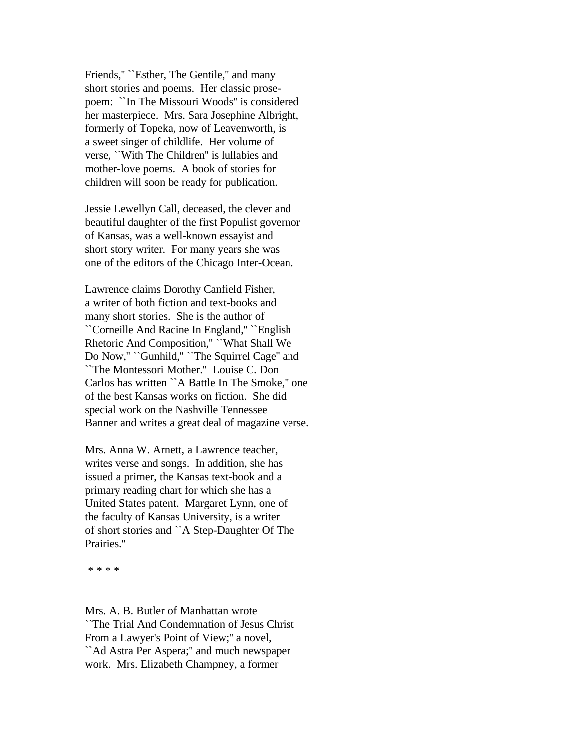Friends," "Esther, The Gentile," and many short stories and poems. Her classic prosepoem: ``In The Missouri Woods'' is considered her masterpiece. Mrs. Sara Josephine Albright, formerly of Topeka, now of Leavenworth, is a sweet singer of childlife. Her volume of verse, ``With The Children'' is lullabies and mother-love poems. A book of stories for children will soon be ready for publication.

Jessie Lewellyn Call, deceased, the clever and beautiful daughter of the first Populist governor of Kansas, was a well-known essayist and short story writer. For many years she was one of the editors of the Chicago Inter-Ocean.

Lawrence claims Dorothy Canfield Fisher, a writer of both fiction and text-books and many short stories. She is the author of ``Corneille And Racine In England,'' ``English Rhetoric And Composition,'' ``What Shall We Do Now,'' ``Gunhild,'' ``The Squirrel Cage'' and ``The Montessori Mother.'' Louise C. Don Carlos has written ``A Battle In The Smoke,'' one of the best Kansas works on fiction. She did special work on the Nashville Tennessee Banner and writes a great deal of magazine verse.

Mrs. Anna W. Arnett, a Lawrence teacher, writes verse and songs. In addition, she has issued a primer, the Kansas text-book and a primary reading chart for which she has a United States patent. Margaret Lynn, one of the faculty of Kansas University, is a writer of short stories and ``A Step-Daughter Of The Prairies.''

\* \* \* \*

Mrs. A. B. Butler of Manhattan wrote ``The Trial And Condemnation of Jesus Christ From a Lawyer's Point of View;'' a novel, ``Ad Astra Per Aspera;'' and much newspaper work. Mrs. Elizabeth Champney, a former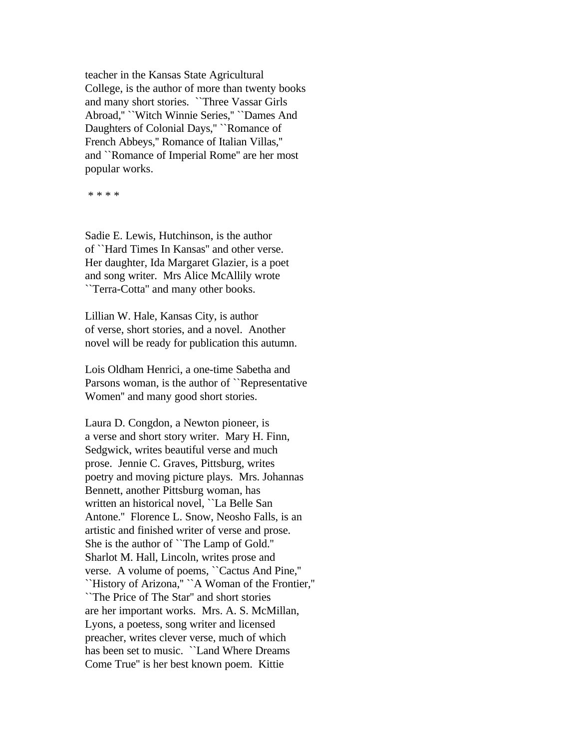teacher in the Kansas State Agricultural College, is the author of more than twenty books and many short stories. ``Three Vassar Girls Abroad,'' ``Witch Winnie Series,'' ``Dames And Daughters of Colonial Days,'' ``Romance of French Abbeys,'' Romance of Italian Villas,'' and ``Romance of Imperial Rome'' are her most popular works.

\* \* \* \*

Sadie E. Lewis, Hutchinson, is the author of ``Hard Times In Kansas'' and other verse. Her daughter, Ida Margaret Glazier, is a poet and song writer. Mrs Alice McAllily wrote ``Terra-Cotta'' and many other books.

Lillian W. Hale, Kansas City, is author of verse, short stories, and a novel. Another novel will be ready for publication this autumn.

Lois Oldham Henrici, a one-time Sabetha and Parsons woman, is the author of "Representative" Women'' and many good short stories.

Laura D. Congdon, a Newton pioneer, is a verse and short story writer. Mary H. Finn, Sedgwick, writes beautiful verse and much prose. Jennie C. Graves, Pittsburg, writes poetry and moving picture plays. Mrs. Johannas Bennett, another Pittsburg woman, has written an historical novel, ``La Belle San Antone.'' Florence L. Snow, Neosho Falls, is an artistic and finished writer of verse and prose. She is the author of ``The Lamp of Gold.'' Sharlot M. Hall, Lincoln, writes prose and verse. A volume of poems, ``Cactus And Pine,'' ``History of Arizona,'' ``A Woman of the Frontier,'' ``The Price of The Star'' and short stories are her important works. Mrs. A. S. McMillan, Lyons, a poetess, song writer and licensed preacher, writes clever verse, much of which has been set to music. ``Land Where Dreams Come True'' is her best known poem. Kittie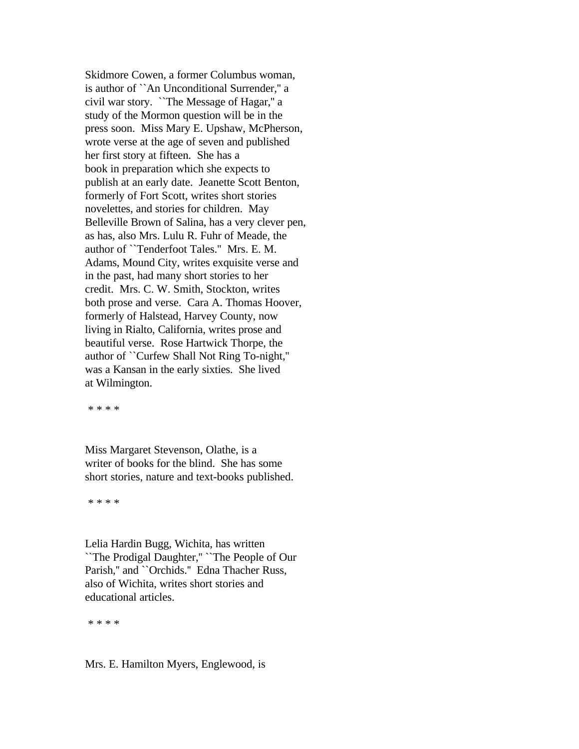Skidmore Cowen, a former Columbus woman, is author of ``An Unconditional Surrender,'' a civil war story. ``The Message of Hagar,'' a study of the Mormon question will be in the press soon. Miss Mary E. Upshaw, McPherson, wrote verse at the age of seven and published her first story at fifteen. She has a book in preparation which she expects to publish at an early date. Jeanette Scott Benton, formerly of Fort Scott, writes short stories novelettes, and stories for children. May Belleville Brown of Salina, has a very clever pen, as has, also Mrs. Lulu R. Fuhr of Meade, the author of ``Tenderfoot Tales.'' Mrs. E. M. Adams, Mound City, writes exquisite verse and in the past, had many short stories to her credit. Mrs. C. W. Smith, Stockton, writes both prose and verse. Cara A. Thomas Hoover, formerly of Halstead, Harvey County, now living in Rialto, California, writes prose and beautiful verse. Rose Hartwick Thorpe, the author of ``Curfew Shall Not Ring To-night,'' was a Kansan in the early sixties. She lived at Wilmington.

\* \* \* \*

Miss Margaret Stevenson, Olathe, is a writer of books for the blind. She has some short stories, nature and text-books published.

\* \* \* \*

Lelia Hardin Bugg, Wichita, has written ``The Prodigal Daughter,'' ``The People of Our Parish," and ``Orchids." Edna Thacher Russ, also of Wichita, writes short stories and educational articles.

\* \* \* \*

Mrs. E. Hamilton Myers, Englewood, is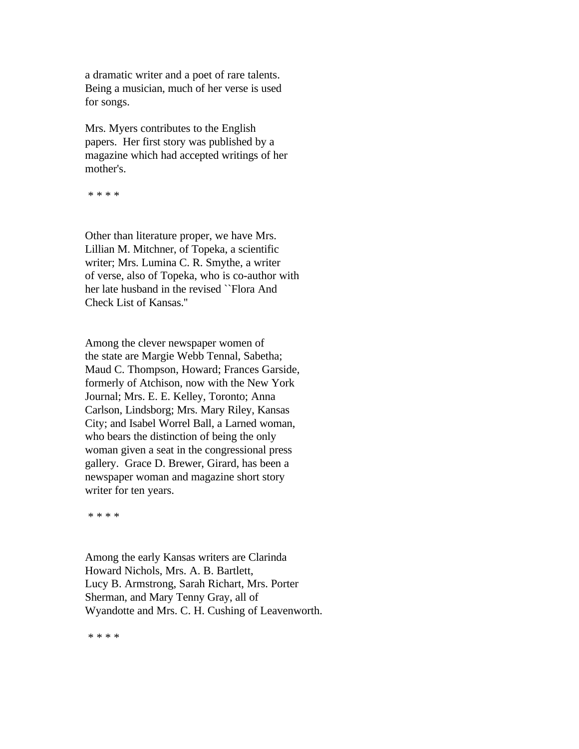a dramatic writer and a poet of rare talents. Being a musician, much of her verse is used for songs.

Mrs. Myers contributes to the English papers. Her first story was published by a magazine which had accepted writings of her mother's.

\* \* \* \*

Other than literature proper, we have Mrs. Lillian M. Mitchner, of Topeka, a scientific writer; Mrs. Lumina C. R. Smythe, a writer of verse, also of Topeka, who is co-author with her late husband in the revised ``Flora And Check List of Kansas.''

Among the clever newspaper women of the state are Margie Webb Tennal, Sabetha; Maud C. Thompson, Howard; Frances Garside, formerly of Atchison, now with the New York Journal; Mrs. E. E. Kelley, Toronto; Anna Carlson, Lindsborg; Mrs. Mary Riley, Kansas City; and Isabel Worrel Ball, a Larned woman, who bears the distinction of being the only woman given a seat in the congressional press gallery. Grace D. Brewer, Girard, has been a newspaper woman and magazine short story writer for ten years.

\* \* \* \*

Among the early Kansas writers are Clarinda Howard Nichols, Mrs. A. B. Bartlett, Lucy B. Armstrong, Sarah Richart, Mrs. Porter Sherman, and Mary Tenny Gray, all of Wyandotte and Mrs. C. H. Cushing of Leavenworth.

\* \* \* \*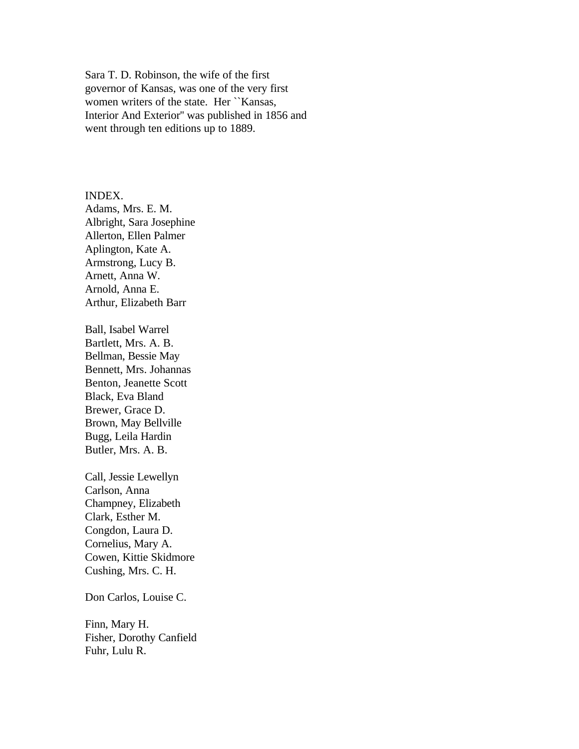Sara T. D. Robinson, the wife of the first governor of Kansas, was one of the very first women writers of the state. Her ``Kansas, Interior And Exterior'' was published in 1856 and went through ten editions up to 1889.

INDEX. Adams, Mrs. E. M. Albright, Sara Josephine Allerton, Ellen Palmer Aplington, Kate A. Armstrong, Lucy B. Arnett, Anna W. Arnold, Anna E. Arthur, Elizabeth Barr

Ball, Isabel Warrel Bartlett, Mrs. A. B. Bellman, Bessie May Bennett, Mrs. Johannas Benton, Jeanette Scott Black, Eva Bland Brewer, Grace D. Brown, May Bellville Bugg, Leila Hardin Butler, Mrs. A. B.

Call, Jessie Lewellyn Carlson, Anna Champney, Elizabeth Clark, Esther M. Congdon, Laura D. Cornelius, Mary A. Cowen, Kittie Skidmore Cushing, Mrs. C. H.

Don Carlos, Louise C.

Finn, Mary H. Fisher, Dorothy Canfield Fuhr, Lulu R.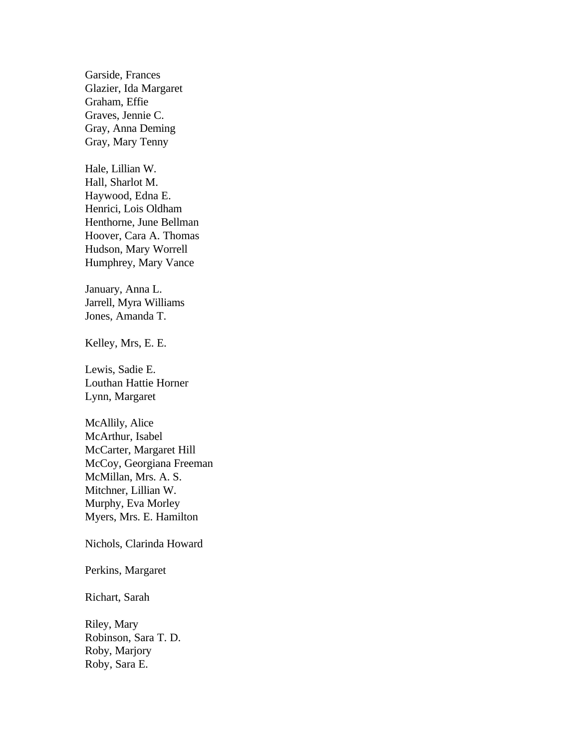Garside, Frances Glazier, Ida Margaret Graham, Effie Graves, Jennie C. Gray, Anna Deming Gray, Mary Tenny

Hale, Lillian W. Hall, Sharlot M. Haywood, Edna E. Henrici, Lois Oldham Henthorne, June Bellman Hoover, Cara A. Thomas Hudson, Mary Worrell Humphrey, Mary Vance

January, Anna L. Jarrell, Myra Williams Jones, Amanda T.

Kelley, Mrs, E. E.

Lewis, Sadie E. Louthan Hattie Horner Lynn, Margaret

McAllily, Alice McArthur, Isabel McCarter, Margaret Hill McCoy, Georgiana Freeman McMillan, Mrs. A. S. Mitchner, Lillian W. Murphy, Eva Morley Myers, Mrs. E. Hamilton

Nichols, Clarinda Howard

Perkins, Margaret

Richart, Sarah

Riley, Mary Robinson, Sara T. D. Roby, Marjory Roby, Sara E.